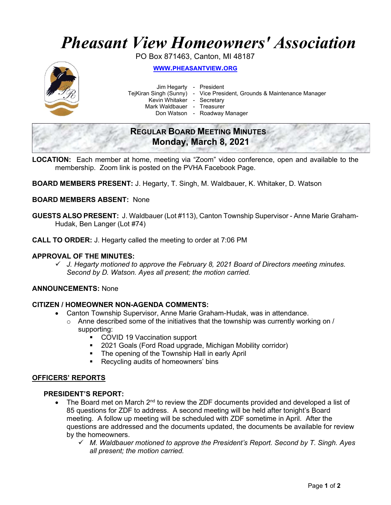# Pheasant View Homeowners' Association

PO Box 871463, Canton, MI 48187



WWW.PHEASANTVIEW.ORG

Jim Hegarty - President

TejKiran Singh (Sunny) - Vice President, Grounds & Maintenance Manager

Kevin Whitaker - Secretary

Mark Waldbauer - Treasurer

Don Watson - Roadway Manager

# REGULAR BOARD MEETING MINUTES Monday, March 8, 2021

- LOCATION: Each member at home, meeting via "Zoom" video conference, open and available to the membership. Zoom link is posted on the PVHA Facebook Page.
- BOARD MEMBERS PRESENT: J. Hegarty, T. Singh, M. Waldbauer, K. Whitaker, D. Watson

# BOARD MEMBERS ABSENT: None

- GUESTS ALSO PRESENT: J. Waldbauer (Lot #113), Canton Township Supervisor Anne Marie Graham-Hudak, Ben Langer (Lot #74)
- CALL TO ORDER: J. Hegarty called the meeting to order at 7:06 PM

## APPROVAL OF THE MINUTES:

 $\checkmark$  J. Hegarty motioned to approve the February 8, 2021 Board of Directors meeting minutes. Second by D. Watson. Ayes all present; the motion carried.

# ANNOUNCEMENTS: None

#### CITIZEN / HOMEOWNER NON-AGENDA COMMENTS:

- Canton Township Supervisor, Anne Marie Graham-Hudak, was in attendance.
	- $\circ$  Anne described some of the initiatives that the township was currently working on / supporting:
		- COVID 19 Vaccination support
		- 2021 Goals (Ford Road upgrade, Michigan Mobility corridor)
		- **The opening of the Township Hall in early April**
		- **Recycling audits of homeowners' bins**

#### OFFICERS' REPORTS

## PRESIDENT'S REPORT:

- The Board met on March  $2^{nd}$  to review the ZDF documents provided and developed a list of 85 questions for ZDF to address. A second meeting will be held after tonight's Board meeting. A follow up meeting will be scheduled with ZDF sometime in April. After the questions are addressed and the documents updated, the documents be available for review by the homeowners.
	- $\checkmark$  M. Waldbauer motioned to approve the President's Report. Second by T. Singh. Ayes all present; the motion carried.